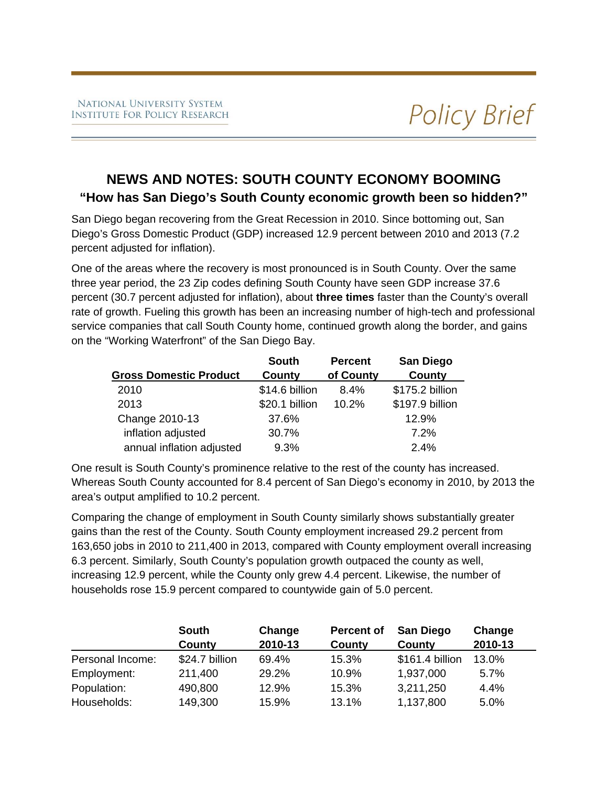# **NEWS AND NOTES: SOUTH COUNTY ECONOMY BOOMING "How has San Diego's South County economic growth been so hidden?"**

**Policy Brief** 

San Diego began recovering from the Great Recession in 2010. Since bottoming out, San Diego's Gross Domestic Product (GDP) increased 12.9 percent between 2010 and 2013 (7.2 percent adjusted for inflation).

One of the areas where the recovery is most pronounced is in South County. Over the same three year period, the 23 Zip codes defining South County have seen GDP increase 37.6 percent (30.7 percent adjusted for inflation), about **three times** faster than the County's overall rate of growth. Fueling this growth has been an increasing number of high-tech and professional service companies that call South County home, continued growth along the border, and gains on the "Working Waterfront" of the San Diego Bay.

|                               | <b>South</b>   | <b>Percent</b> | <b>San Diego</b> |
|-------------------------------|----------------|----------------|------------------|
| <b>Gross Domestic Product</b> | County         | of County      | County           |
| 2010                          | \$14.6 billion | 8.4%           | \$175.2 billion  |
| 2013                          | \$20.1 billion | 10.2%          | \$197.9 billion  |
| Change 2010-13                | 37.6%          |                | 12.9%            |
| inflation adjusted            | 30.7%          |                | 7.2%             |
| annual inflation adjusted     | 9.3%           |                | 2.4%             |

One result is South County's prominence relative to the rest of the county has increased. Whereas South County accounted for 8.4 percent of San Diego's economy in 2010, by 2013 the area's output amplified to 10.2 percent.

Comparing the change of employment in South County similarly shows substantially greater gains than the rest of the County. South County employment increased 29.2 percent from 163,650 jobs in 2010 to 211,400 in 2013, compared with County employment overall increasing 6.3 percent. Similarly, South County's population growth outpaced the county as well, increasing 12.9 percent, while the County only grew 4.4 percent. Likewise, the number of households rose 15.9 percent compared to countywide gain of 5.0 percent.

|                  | <b>South</b>   | Change  | <b>Percent of</b> | <b>San Diego</b> | Change  |  |
|------------------|----------------|---------|-------------------|------------------|---------|--|
|                  | County         | 2010-13 | County            | County           | 2010-13 |  |
| Personal Income: | \$24.7 billion | 69.4%   | 15.3%             | \$161.4 billion  | 13.0%   |  |
| Employment:      | 211,400        | 29.2%   | 10.9%             | 1,937,000        | 5.7%    |  |
| Population:      | 490,800        | 12.9%   | 15.3%             | 3,211,250        | 4.4%    |  |
| Households:      | 149,300        | 15.9%   | 13.1%             | 1,137,800        | 5.0%    |  |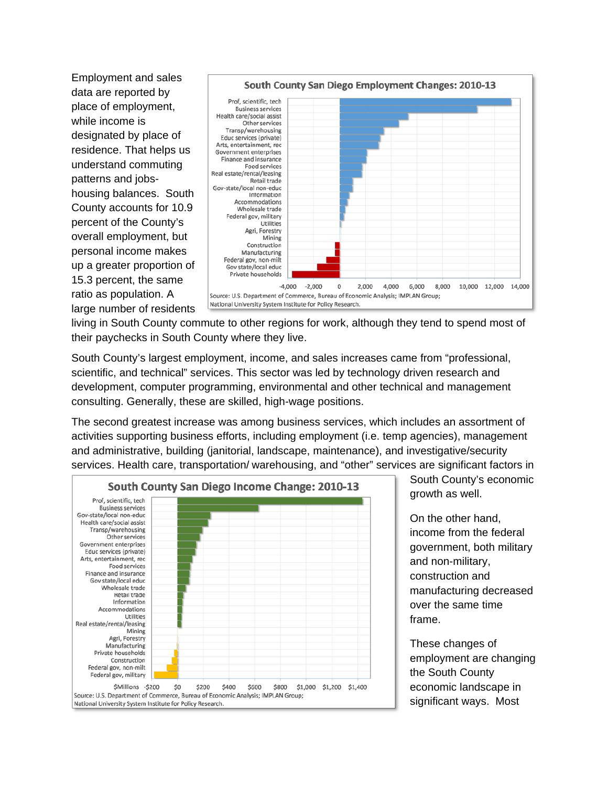Employment and sales data are reported by place of employment, while income is designated by place of residence. That helps us understand commuting patterns and jobshousing balances. South County accounts for 10.9 percent of the County's overall employment, but personal income makes up a greater proportion of 15.3 percent, the same ratio as population. A large number of residents



living in South County commute to other regions for work, although they tend to spend most of their paychecks in South County where they live.

South County's largest employment, income, and sales increases came from "professional, scientific, and technical" services. This sector was led by technology driven research and development, computer programming, environmental and other technical and management consulting. Generally, these are skilled, high-wage positions.

The second greatest increase was among business services, which includes an assortment of activities supporting business efforts, including employment (i.e. temp agencies), management and administrative, building (janitorial, landscape, maintenance), and investigative/security services. Health care, transportation/ warehousing, and "other" services are significant factors in



South County's economic growth as well.

On the other hand, income from the federal government, both military and non-military, construction and manufacturing decreased over the same time frame.

These changes of employment are changing the South County economic landscape in significant ways. Most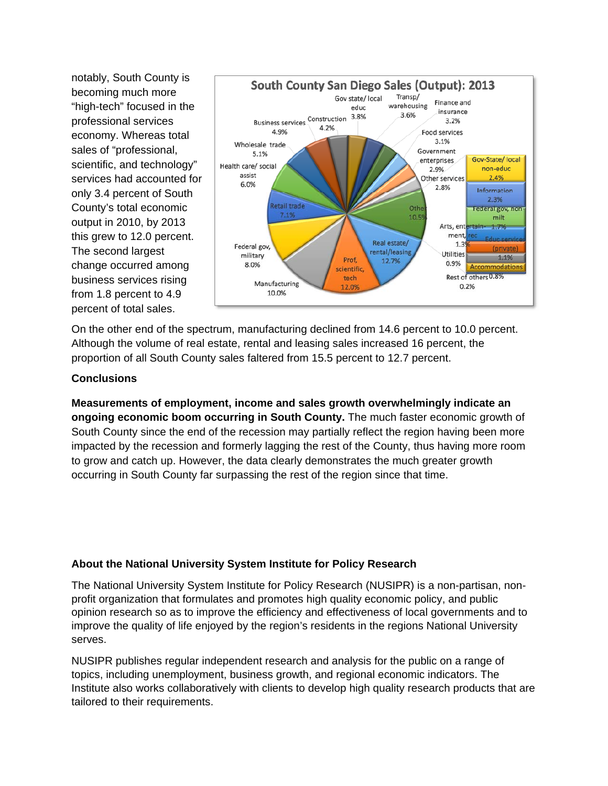notably, South County is becoming much more "high-tech" focused in the professional services economy. Whereas total sales of "professional, scientific, and technology" services had accounted for only 3.4 percent of South County's total economic output in 2010, by 2013 this grew to 12.0 percent. The second largest change occurred among business services rising from 1.8 percent to 4.9 percent of total sales.



On the other end of the spectrum, manufacturing declined from 14.6 percent to 10.0 percent. Although the volume of real estate, rental and leasing sales increased 16 percent, the proportion of all South County sales faltered from 15.5 percent to 12.7 percent.

### **Conclusions**

**Measurements of employment, income and sales growth overwhelmingly indicate an ongoing economic boom occurring in South County.** The much faster economic growth of South County since the end of the recession may partially reflect the region having been more impacted by the recession and formerly lagging the rest of the County, thus having more room to grow and catch up. However, the data clearly demonstrates the much greater growth occurring in South County far surpassing the rest of the region since that time.

### **About the National University System Institute for Policy Research**

The National University System Institute for Policy Research (NUSIPR) is a non-partisan, nonprofit organization that formulates and promotes high quality economic policy, and public opinion research so as to improve the efficiency and effectiveness of local governments and to improve the quality of life enjoyed by the region's residents in the regions National University serves.

NUSIPR publishes regular independent research and analysis for the public on a range of topics, including unemployment, business growth, and regional economic indicators. The Institute also works collaboratively with clients to develop high quality research products that are tailored to their requirements.